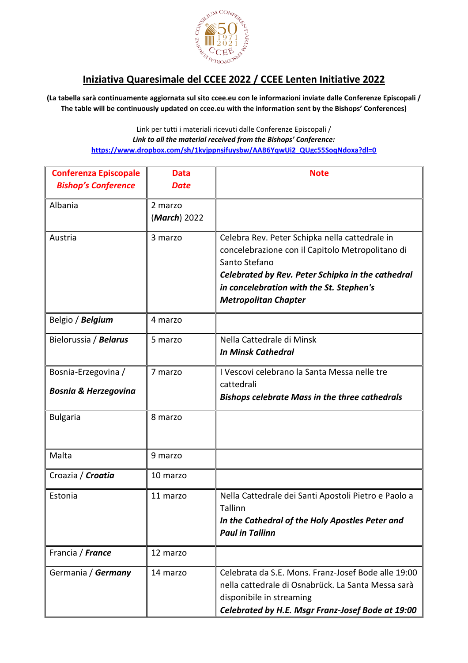

## **Iniziativa Quaresimale del CCEE 2022 / CCEE Lenten Initiative 2022**

**(La tabella sarà continuamente aggiornata sul sito ccee.eu con le informazioni inviate dalle Conferenze Episcopali / The table will be continuously updated on ccee.eu with the information sent by the Bishops' Conferences)**

> Link per tutti i materiali ricevuti dalle Conferenze Episcopali / *Link to all the material received from the Bishops' Conference:* **[https://www.dropbox.com/sh/1kvjppnsifuysbw/AAB6YqwUi2\\_QUgc55SoqNdoxa?dl=0](https://www.dropbox.com/sh/1kvjppnsifuysbw/AAB6YqwUi2_QUgc55SoqNdoxa?dl=0)**

| <b>Conferenza Episcopale</b><br><b>Bishop's Conference</b> | <b>Data</b><br>Date     | <b>Note</b>                                                                                                                                                                                                                                         |
|------------------------------------------------------------|-------------------------|-----------------------------------------------------------------------------------------------------------------------------------------------------------------------------------------------------------------------------------------------------|
| Albania                                                    | 2 marzo<br>(March) 2022 |                                                                                                                                                                                                                                                     |
| Austria                                                    | 3 marzo                 | Celebra Rev. Peter Schipka nella cattedrale in<br>concelebrazione con il Capitolo Metropolitano di<br>Santo Stefano<br>Celebrated by Rev. Peter Schipka in the cathedral<br>in concelebration with the St. Stephen's<br><b>Metropolitan Chapter</b> |
| Belgio / Belgium                                           | 4 marzo                 |                                                                                                                                                                                                                                                     |
| Bielorussia / Belarus                                      | 5 marzo                 | Nella Cattedrale di Minsk<br><b>In Minsk Cathedral</b>                                                                                                                                                                                              |
| Bosnia-Erzegovina /<br><b>Bosnia &amp; Herzegovina</b>     | 7 marzo                 | I Vescovi celebrano la Santa Messa nelle tre<br>cattedrali<br><b>Bishops celebrate Mass in the three cathedrals</b>                                                                                                                                 |
| <b>Bulgaria</b>                                            | 8 marzo                 |                                                                                                                                                                                                                                                     |
| Malta                                                      | 9 marzo                 |                                                                                                                                                                                                                                                     |
| Croazia / Croatia                                          | 10 marzo                |                                                                                                                                                                                                                                                     |
| Estonia                                                    | 11 marzo                | Nella Cattedrale dei Santi Apostoli Pietro e Paolo a<br>Tallinn<br>In the Cathedral of the Holy Apostles Peter and<br><b>Paul in Tallinn</b>                                                                                                        |
| Francia / France                                           | 12 marzo                |                                                                                                                                                                                                                                                     |
| Germania / Germany                                         | 14 marzo                | Celebrata da S.E. Mons. Franz-Josef Bode alle 19:00<br>nella cattedrale di Osnabrück. La Santa Messa sarà<br>disponibile in streaming<br>Celebrated by H.E. Msgr Franz-Josef Bode at 19:00                                                          |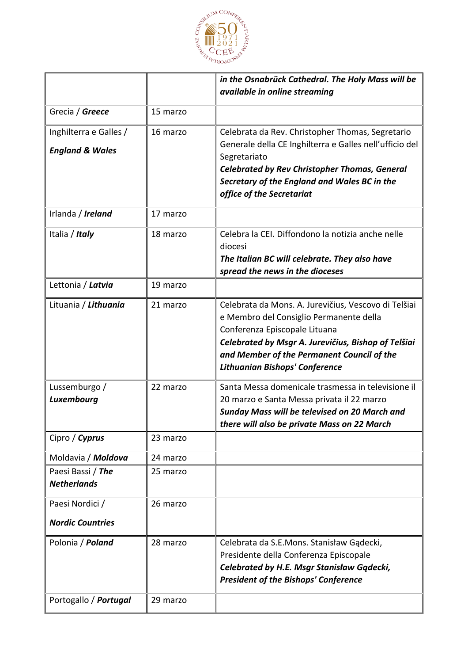

|                                         |          | in the Osnabrück Cathedral. The Holy Mass will be                                                    |
|-----------------------------------------|----------|------------------------------------------------------------------------------------------------------|
|                                         |          | available in online streaming                                                                        |
| Grecia / Greece                         | 15 marzo |                                                                                                      |
| Inghilterra e Galles /                  | 16 marzo | Celebrata da Rev. Christopher Thomas, Segretario                                                     |
| <b>England &amp; Wales</b>              |          | Generale della CE Inghilterra e Galles nell'ufficio del                                              |
|                                         |          | Segretariato                                                                                         |
|                                         |          | <b>Celebrated by Rev Christopher Thomas, General</b><br>Secretary of the England and Wales BC in the |
|                                         |          | office of the Secretariat                                                                            |
|                                         |          |                                                                                                      |
| Irlanda / Ireland                       | 17 marzo |                                                                                                      |
| Italia / Italy                          | 18 marzo | Celebra la CEI. Diffondono la notizia anche nelle                                                    |
|                                         |          | diocesi                                                                                              |
|                                         |          | The Italian BC will celebrate. They also have<br>spread the news in the dioceses                     |
| Lettonia / Latvia                       | 19 marzo |                                                                                                      |
|                                         |          |                                                                                                      |
| Lituania / Lithuania                    | 21 marzo | Celebrata da Mons. A. Jurevičius, Vescovo di Telšiai<br>e Membro del Consiglio Permanente della      |
|                                         |          | Conferenza Episcopale Lituana                                                                        |
|                                         |          | Celebrated by Msgr A. Jurevičius, Bishop of Telšiai                                                  |
|                                         |          | and Member of the Permanent Council of the                                                           |
|                                         |          | <b>Lithuanian Bishops' Conference</b>                                                                |
| Lussemburgo /                           | 22 marzo | Santa Messa domenicale trasmessa in televisione il                                                   |
| Luxembourg                              |          | 20 marzo e Santa Messa privata il 22 marzo                                                           |
|                                         |          | <b>Sunday Mass will be televised on 20 March and</b>                                                 |
|                                         |          | there will also be private Mass on 22 March                                                          |
| Cipro / Cyprus                          | 23 marzo |                                                                                                      |
| Moldavia / Moldova                      | 24 marzo |                                                                                                      |
| Paesi Bassi / The<br><b>Netherlands</b> | 25 marzo |                                                                                                      |
|                                         |          |                                                                                                      |
| Paesi Nordici /                         | 26 marzo |                                                                                                      |
| <b>Nordic Countries</b>                 |          |                                                                                                      |
| Polonia / Poland                        | 28 marzo | Celebrata da S.E.Mons. Stanisław Gądecki,                                                            |
|                                         |          | Presidente della Conferenza Episcopale                                                               |
|                                         |          | Celebrated by H.E. Msgr Stanisław Gądecki,                                                           |
|                                         |          | <b>President of the Bishops' Conference</b>                                                          |
| Portogallo / Portugal                   | 29 marzo |                                                                                                      |